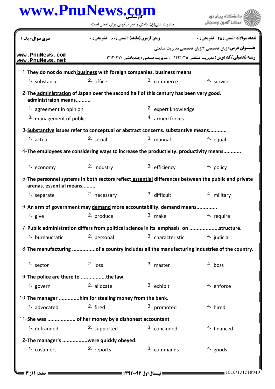| www.PnuNews.com                                      |                                                    |                                                                                                      | دانشگاه ييام نور                                                                    |
|------------------------------------------------------|----------------------------------------------------|------------------------------------------------------------------------------------------------------|-------------------------------------------------------------------------------------|
|                                                      |                                                    | حضرت علی(ع): دانش راهبر نیکویی برای ایمان است                                                        | مركز آزمون وسنجش                                                                    |
| سری سوال: یک ۱                                       | <b>زمان آزمون (دقیقه) : تستی : 60 ٪ تشریحی : 0</b> |                                                                                                      | تعداد سوالات : تستي : 25 - تشريحي : 0                                               |
|                                                      |                                                    |                                                                                                      | <b>عنـــوان درس:</b> زبان تخصصي ۳،زبان تخصصي مديريت صنعتي                           |
| www.PnuNews.com<br>www.PnuNews.net                   |                                                    |                                                                                                      | <b>رشته تحصیلی/کد درس: مدیریت صنعتی ۱۲۱۲۰۳۵ - ، مدیریت صنعتی (چندبخشی ) ۱۲۱۲۰۳۷</b> |
|                                                      |                                                    | 1-They do not do much business with foreign companies. business means                                |                                                                                     |
| 1. substance                                         | $2.$ office                                        | 3. commerce                                                                                          | 4. service                                                                          |
| administraion means                                  |                                                    | 2-The administration of Japan over the second half of this century has been very good.               |                                                                                     |
| 1. agreement in opinion                              |                                                    | 2. expert knowledge                                                                                  |                                                                                     |
| 3. management of public                              |                                                    | 4. armed forces                                                                                      |                                                                                     |
|                                                      |                                                    | 3-Substantive issues refer to conceptual or abstract concerns. substantive means                     |                                                                                     |
| 1. actual                                            | 2. social                                          | 3. manual                                                                                            | 4. equal                                                                            |
|                                                      |                                                    | 4-The employees are considering ways to increase the productivity. productivity means                |                                                                                     |
| 1. economy                                           | 2. industry                                        | 3. efficiency                                                                                        | 4. policy                                                                           |
| arenas. essential means                              |                                                    | 5-The personnel systems in both sectors reflect essential differences between the public and private |                                                                                     |
| 1. separate                                          | 2. necessary                                       | 3. difficult                                                                                         | 4. military                                                                         |
|                                                      |                                                    | 6-An arm of government may demand more accountability. demand means                                  |                                                                                     |
| 1. $give$                                            | 2. produce                                         | 3. make                                                                                              | 4. require                                                                          |
|                                                      |                                                    | 7-Public administration differs from political science in its emphasis on structure.                 |                                                                                     |
| 1. bureaucratic                                      | 2. personal                                        | 3. characteristic                                                                                    | 4. judicial                                                                         |
|                                                      |                                                    | 8- The manufacturing of a country includes all the manufacturing industries of the country.          |                                                                                     |
| $1.$ sector                                          | $2.$ loss                                          | 3. master                                                                                            | 4. boss                                                                             |
| 9-The police are there to the law.                   |                                                    |                                                                                                      |                                                                                     |
| 1. govern                                            | 2. allocate                                        | 3. exhibit                                                                                           | 4. enforce                                                                          |
| 10-The manager him for stealing money from the bank. |                                                    |                                                                                                      |                                                                                     |
| 1. advocated                                         | 2. fired                                           | 3. promoted                                                                                          | 4. hired                                                                            |
| 11-She was  of her money by a dishonest accountant   |                                                    |                                                                                                      |                                                                                     |
| <sup>1.</sup> defrauded                              | 2. supported                                       | 3. concluded                                                                                         | <sup>4</sup> financed                                                               |
| 12-The manager's were quickly obeyed.                |                                                    |                                                                                                      |                                                                                     |
| 1. cosumers                                          | 2. reports                                         | 3. commands                                                                                          | $4.$ goods                                                                          |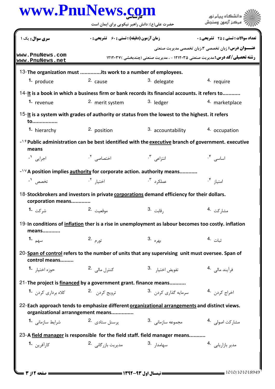|                                                                            | حضرت علی(ع): دانش راهبر نیکویی برای ایمان است                   | . دانشگاه پيام <mark>ن</mark> ور<br>مركز آزمون وسندش                                                 |                                                           |  |
|----------------------------------------------------------------------------|-----------------------------------------------------------------|------------------------------------------------------------------------------------------------------|-----------------------------------------------------------|--|
| سری سوال: یک ۱                                                             | <b>زمان آزمون (دقیقه) : تستی : 60 ٪ تشریحی : 0</b>              |                                                                                                      | <b>تعداد سوالات : تستی : 25 - تشریحی : 0</b>              |  |
| www.PnuNews.com                                                            |                                                                 | <b>رشته تحصیلی/کد درس: مدیریت صنعتی ۱۲۱۲۰۳۵ - ، مدیریت صنعتی (چندبخشی ) ۱۲۱۲۰۳۷</b>                  | <b>عنـــوان درس:</b> زبان تخصصي ۳،زبان تخصصي مديريت صنعتي |  |
| www.PnuNews.net                                                            |                                                                 |                                                                                                      |                                                           |  |
|                                                                            | 13- The organization must its work to a number of employees.    |                                                                                                      |                                                           |  |
| 1. produce                                                                 | 2. cause                                                        | 3. delegate                                                                                          | 4. require                                                |  |
|                                                                            |                                                                 | 14-It is a book in which a business firm or bank records its financial accounts. it refers to        |                                                           |  |
| 1. revenue                                                                 | 2. merit system                                                 | 3. ledger                                                                                            | 4. marketplace                                            |  |
| to                                                                         |                                                                 | 15-It is a system with grades of authority or status from the lowest to the highest. it refers       |                                                           |  |
| 1. hierarchy                                                               | 2. position                                                     | 3. accountability                                                                                    | 4. occupation                                             |  |
| means                                                                      |                                                                 | -19 Public administration can be best identified with the executive branch of government. executive  |                                                           |  |
| اجرایی <sup>۱</sup> ۰                                                      | اختصاصی <sup>۲</sup> ۰                                          | انتزاعی ۲.                                                                                           | اساسی ۴۰                                                  |  |
|                                                                            |                                                                 | -1YA position implies authority for corporate action. authority means                                |                                                           |  |
| تخصص <b>'</b> ·                                                            | اختيا, <sup>۲</sup> ۰                                           | عملكرد <sup>٢</sup> ٠                                                                                | امتياز ۰ <sup>۴</sup>                                     |  |
| corporation means                                                          |                                                                 | 18-Stockbrokers and investors in private corporations demand efficiency for their dollars.           |                                                           |  |
|                                                                            |                                                                 | رقابت 3.                                                                                             | مشار كت <sup>.4</sup>                                     |  |
| means                                                                      |                                                                 | 19-In conditions of inflation ther is a rise in unemployment as labour becomes too costly. inflation |                                                           |  |
| <b>1.</b> سهم                                                              | تورم .2                                                         | بهره .3                                                                                              | ثبات 4.                                                   |  |
| control means                                                              |                                                                 | 20-Span of control refers to the number of units that any supervising unit must oversee. Span of     |                                                           |  |
| حوزه اختيار <b>1</b> ۰                                                     | كنترل مالي .2                                                   | 3. تفويض اختيا <sub>ر</sub>                                                                          | فرآيند مالي 4.                                            |  |
|                                                                            | 21-The project is financed by a government grant. finance means |                                                                                                      |                                                           |  |
| کلاه برداری کردن 1.                                                        | ترويج كردن 2.                                                   | سرمايه گذارى كردن . <sup>3</sup>                                                                     | اخراج کرد <sub>ن</sub> .4                                 |  |
|                                                                            | organizational arranngement means                               | 22-Each approach tends to emphasize different organizational arrangements and distinct views.        |                                                           |  |
| شرایط سازمانی <b>1</b> ۰                                                   | یرسنل ستادی 2.                                                  | 3. مجموعه سازمانی                                                                                    | مشاركت اصولى 4.                                           |  |
|                                                                            |                                                                 |                                                                                                      |                                                           |  |
| 23-A field manager is responsible for the field staff. field manager means |                                                                 |                                                                                                      |                                                           |  |